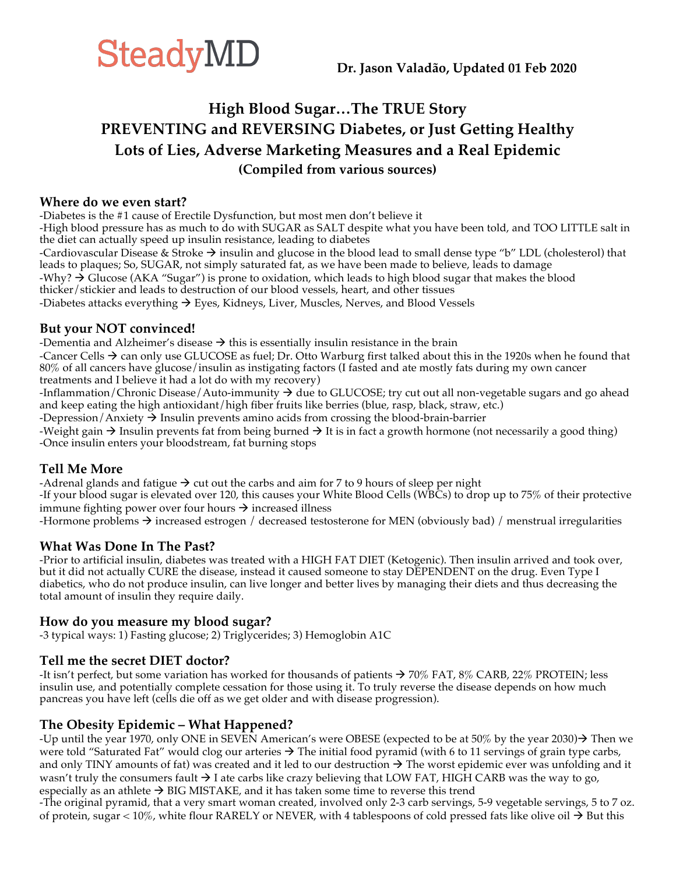

### **High Blood Sugar…The TRUE Story PREVENTING and REVERSING Diabetes, or Just Getting Healthy Lots of Lies, Adverse Marketing Measures and a Real Epidemic (Compiled from various sources)**

#### **Where do we even start?**

-Diabetes is the #1 cause of Erectile Dysfunction, but most men don't believe it

-High blood pressure has as much to do with SUGAR as SALT despite what you have been told, and TOO LITTLE salt in the diet can actually speed up insulin resistance, leading to diabetes

-Cardiovascular Disease & Stroke  $\rightarrow$  insulin and glucose in the blood lead to small dense type "b" LDL (cholesterol) that leads to plaques; So, SUGAR, not simply saturated fat, as we have been made to believe, leads to damage

-Why?  $\rightarrow$  Glucose (AKA "Sugar") is prone to oxidation, which leads to high blood sugar that makes the blood

thicker/stickier and leads to destruction of our blood vessels, heart, and other tissues

-Diabetes attacks everything  $\rightarrow$  Eyes, Kidneys, Liver, Muscles, Nerves, and Blood Vessels

#### **But your NOT convinced!**

-Dementia and Alzheimer's disease  $\rightarrow$  this is essentially insulin resistance in the brain

-Cancer Cells  $\rightarrow$  can only use GLUCOSE as fuel; Dr. Otto Warburg first talked about this in the 1920s when he found that 80% of all cancers have glucose/insulin as instigating factors (I fasted and ate mostly fats during my own cancer treatments and I believe it had a lot do with my recovery)

-Inflammation/Chronic Disease/Auto-immunity  $\rightarrow$  due to GLUCOSE; try cut out all non-vegetable sugars and go ahead and keep eating the high antioxidant/high fiber fruits like berries (blue, rasp, black, straw, etc.)

-Depression/Anxiety  $\rightarrow$  Insulin prevents amino acids from crossing the blood-brain-barrier

-Weight gain  $\rightarrow$  Insulin prevents fat from being burned  $\rightarrow$  It is in fact a growth hormone (not necessarily a good thing) -Once insulin enters your bloodstream, fat burning stops

#### **Tell Me More**

-Adrenal glands and fatigue  $\rightarrow$  cut out the carbs and aim for 7 to 9 hours of sleep per night -If your blood sugar is elevated over 120, this causes your White Blood Cells (WBCs) to drop up to 75% of their protective immune fighting power over four hours  $\rightarrow$  increased illness

-Hormone problems  $\rightarrow$  increased estrogen / decreased testosterone for MEN (obviously bad) / menstrual irregularities

#### **What Was Done In The Past?**

-Prior to artificial insulin, diabetes was treated with a HIGH FAT DIET (Ketogenic). Then insulin arrived and took over, but it did not actually CURE the disease, instead it caused someone to stay DEPENDENT on the drug. Even Type I diabetics, who do not produce insulin, can live longer and better lives by managing their diets and thus decreasing the total amount of insulin they require daily.

#### **How do you measure my blood sugar?**

-3 typical ways: 1) Fasting glucose; 2) Triglycerides; 3) Hemoglobin A1C

#### **Tell me the secret DIET doctor?**

-It isn't perfect, but some variation has worked for thousands of patients  $\rightarrow$  70% FAT, 8% CARB, 22% PROTEIN; less insulin use, and potentially complete cessation for those using it. To truly reverse the disease depends on how much pancreas you have left (cells die off as we get older and with disease progression).

#### **The Obesity Epidemic – What Happened?**

-Up until the year 1970, only ONE in SEVEN American's were OBESE (expected to be at 50% by the year 2030) $\rightarrow$  Then we were told "Saturated Fat" would clog our arteries  $\rightarrow$  The initial food pyramid (with 6 to 11 servings of grain type carbs, and only TINY amounts of fat) was created and it led to our destruction  $\rightarrow$  The worst epidemic ever was unfolding and it wasn't truly the consumers fault  $\rightarrow$  I ate carbs like crazy believing that LOW FAT, HIGH CARB was the way to go, especially as an athlete  $\rightarrow$  BIG MISTAKE, and it has taken some time to reverse this trend

-The original pyramid, that a very smart woman created, involved only 2-3 carb servings, 5-9 vegetable servings, 5 to 7 oz. of protein, sugar < 10%, white flour RARELY or NEVER, with 4 tablespoons of cold pressed fats like olive oil  $\rightarrow$  But this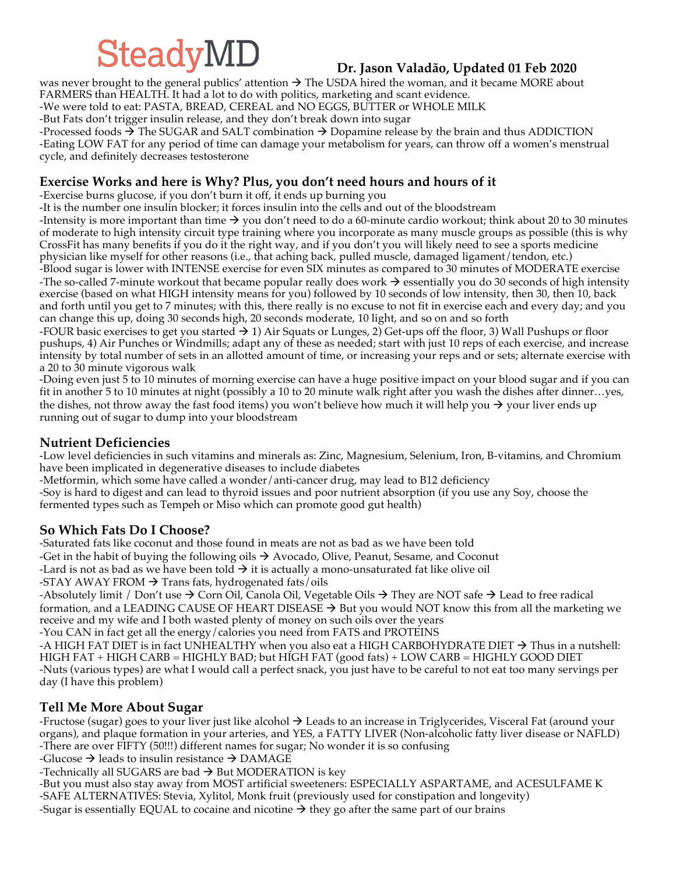# $SteadyMD$   $Dr.$  Jason Valadão, Updated 01 Feb 2020

was never brought to the general publics' attention  $\rightarrow$  The USDA hired the woman, and it became MORE about FARMERS than HEALTH. It had a lot to do with politics, marketing and scant evidence.

-We were told to eat: PASTA, BREAD, CEREAL and NO EGGS, BUTTER or WHOLE MILK

-But Fats don't trigger insulin release, and they don't break down into sugar

-Processed foods  $\rightarrow$  The SUGAR and SALT combination  $\rightarrow$  Dopamine release by the brain and thus ADDICTION -Eating LOW FAT for any period of time can damage your metabolism for years, can throw off a women's menstrual cycle, and definitely decreases testosterone

#### **Exercise Works and here is Why? Plus, you don't need hours and hours of it**

-Exercise burns glucose, if you don't burn it off, it ends up burning you

-It is the number one insulin blocker; it forces insulin into the cells and out of the bloodstream

-Intensity is more important than time  $\rightarrow$  you don't need to do a 60-minute cardio workout; think about 20 to 30 minutes of moderate to high intensity circuit type training where you incorporate as many muscle groups as possible (this is why CrossFit has many benefits if you do it the right way, and if you don't you will likely need to see a sports medicine physician like myself for other reasons (i.e., that aching back, pulled muscle, damaged ligament/tendon, etc.)

-Blood sugar is lower with INTENSE exercise for even SIX minutes as compared to 30 minutes of MODERATE exercise -The so-called 7-minute workout that became popular really does work  $\rightarrow$  essentially you do 30 seconds of high intensity exercise (based on what HIGH intensity means for you) followed by 10 seconds of low intensity, then 30, then 10, back and forth until you get to 7 minutes; with this, there really is no excuse to not fit in exercise each and every day; and you can change this up, doing 30 seconds high, 20 seconds moderate, 10 light, and so on and so forth

-FOUR basic exercises to get you started  $\rightarrow$  1) Air Squats or Lunges, 2) Get-ups off the floor, 3) Wall Pushups or floor pushups, 4) Air Punches or Windmills; adapt any of these as needed; start with just 10 reps of each exercise, and increase intensity by total number of sets in an allotted amount of time, or increasing your reps and or sets; alternate exercise with a 20 to 30 minute vigorous walk

-Doing even just 5 to 10 minutes of morning exercise can have a huge positive impact on your blood sugar and if you can fit in another 5 to 10 minutes at night (possibly a 10 to 20 minute walk right after you wash the dishes after dinner…yes, the dishes, not throw away the fast food items) you won't believe how much it will help you  $\rightarrow$  your liver ends up running out of sugar to dump into your bloodstream

#### **Nutrient Deficiencies**

-Low level deficiencies in such vitamins and minerals as: Zinc, Magnesium, Selenium, Iron, B-vitamins, and Chromium have been implicated in degenerative diseases to include diabetes

-Metformin, which some have called a wonder/anti-cancer drug, may lead to B12 deficiency

-Soy is hard to digest and can lead to thyroid issues and poor nutrient absorption (if you use any Soy, choose the fermented types such as Tempeh or Miso which can promote good gut health)

#### **So Which Fats Do I Choose?**

-Saturated fats like coconut and those found in meats are not as bad as we have been told -Get in the habit of buying the following oils  $\rightarrow$  Avocado, Olive, Peanut, Sesame, and Coconut -Lard is not as bad as we have been told  $\rightarrow$  it is actually a mono-unsaturated fat like olive oil -STAY AWAY FROM  $\rightarrow$  Trans fats, hydrogenated fats/oils

-Absolutely limit / Don't use  $\rightarrow$  Corn Oil, Canola Oil, Vegetable Oils  $\rightarrow$  They are NOT safe  $\rightarrow$  Lead to free radical formation, and a LEADING CAUSE OF HEART DISEASE  $\rightarrow$  But you would NOT know this from all the marketing we receive and my wife and I both wasted plenty of money on such oils over the years -You CAN in fact get all the energy/calories you need from FATS and PROTEINS

-A HIGH FAT DIET is in fact UNHEALTHY when you also eat a HIGH CARBOHYDRATE DIET  $\rightarrow$  Thus in a nutshell: HIGH FAT + HIGH CARB = HIGHLY BAD; but HIGH FAT (good fats) + LOW CARB = HIGHLY GOOD DIET -Nuts (various types) are what I would call a perfect snack, you just have to be careful to not eat too many servings per day (I have this problem)

#### **Tell Me More About Sugar**

-Fructose (sugar) goes to your liver just like alcohol  $\rightarrow$  Leads to an increase in Triglycerides, Visceral Fat (around your organs), and plaque formation in your arteries, and YES, a FATTY LIVER (Non-alcoholic fatty liver disease or NAFLD) -There are over FIFTY (50!!!) different names for sugar; No wonder it is so confusing

-Glucose  $\rightarrow$  leads to insulin resistance  $\rightarrow$  DAMAGE

-Technically all SUGARS are bad  $\rightarrow$  But MODERATION is key

-But you must also stay away from MOST artificial sweeteners: ESPECIALLY ASPARTAME, and ACESULFAME K -SAFE ALTERNATIVES: Stevia, Xylitol, Monk fruit (previously used for constipation and longevity) -Sugar is essentially EQUAL to cocaine and nicotine  $\rightarrow$  they go after the same part of our brains